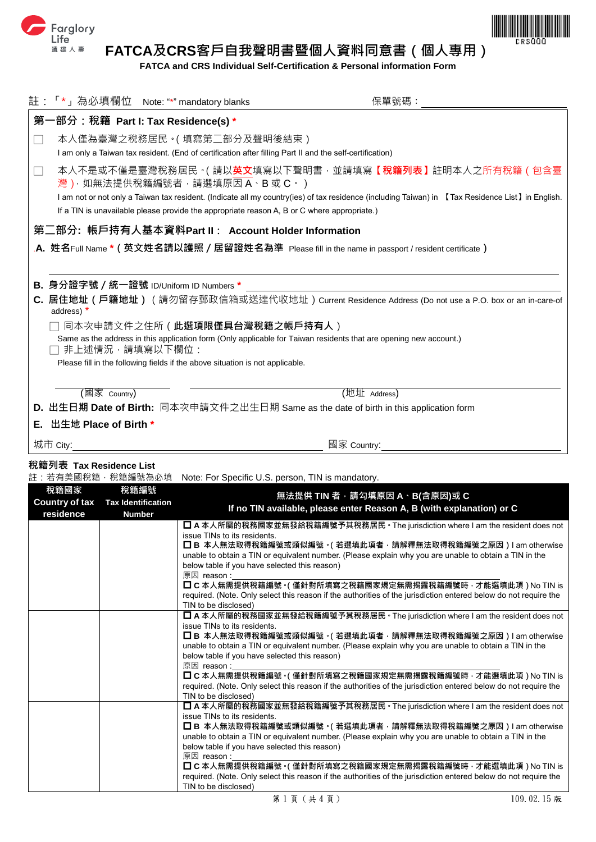



**FATCA and CRS Individual Self-Certification & Personal information Form**

|                                                                                                                                     |                                 | 註:「*」為必填欄位 Note: "*" mandatory blanks | 保單號碼:                                                                                                                                             |  |  |
|-------------------------------------------------------------------------------------------------------------------------------------|---------------------------------|---------------------------------------|---------------------------------------------------------------------------------------------------------------------------------------------------|--|--|
| 第                                                                                                                                   |                                 | 一部分:稅籍  Part I: Tax Residence(s) *    |                                                                                                                                                   |  |  |
|                                                                                                                                     |                                 | 本人僅為臺灣之稅務居民。( 填寫第二部分及聲明後結束 )          |                                                                                                                                                   |  |  |
|                                                                                                                                     |                                 |                                       | I am only a Taiwan tax resident. (End of certification after filling Part II and the self-certification)                                          |  |  |
| - 1                                                                                                                                 |                                 | 灣) · 如無法提供稅籍編號者 · 請選填原因 A · B 或 C · ) | 本人不是或不僅是臺灣稅務居民。( 請以 <b>英文</b> 填寫以下聲明書 · 並請填寫【 <b>稅籍列表】</b> 註明本人之所有稅籍(包含臺                                                                          |  |  |
|                                                                                                                                     |                                 |                                       | I am not or not only a Taiwan tax resident. (Indicate all my country(ies) of tax residence (including Taiwan) in 【Tax Residence List】 in English. |  |  |
|                                                                                                                                     |                                 |                                       | If a TIN is unavailable please provide the appropriate reason A, B or C where appropriate.)                                                       |  |  |
| 第ニ部分: 帳戶持有人基本資料Part Ⅱ: Account Holder Information                                                                                   |                                 |                                       |                                                                                                                                                   |  |  |
| . <b>A.</b> 姓名Full Name *(英文姓名請以護照/居留證姓名為準  Please fill in the name in passport / resident certificate)                             |                                 |                                       |                                                                                                                                                   |  |  |
|                                                                                                                                     |                                 |                                       |                                                                                                                                                   |  |  |
|                                                                                                                                     |                                 |                                       |                                                                                                                                                   |  |  |
| B. 身分證字號 / 統一證號 ID/Uniform ID Numbers *                                                                                             |                                 |                                       |                                                                                                                                                   |  |  |
| C. 居住地址(戶籍地址)(請勿留存郵政信箱或送達代收地址)Current Residence Address (Do not use a P.O. box or an in-care-of<br>address) *                       |                                 |                                       |                                                                                                                                                   |  |  |
|                                                                                                                                     | 同本次申請文件之住所 ( 此選項限僅具台灣稅籍之帳戶持有人 ) |                                       |                                                                                                                                                   |  |  |
| Same as the address in this application form (Only applicable for Taiwan residents that are opening new account.)<br>非上述情況,請填寫以下欄位: |                                 |                                       |                                                                                                                                                   |  |  |
| Please fill in the following fields if the above situation is not applicable.                                                       |                                 |                                       |                                                                                                                                                   |  |  |
|                                                                                                                                     |                                 |                                       |                                                                                                                                                   |  |  |
|                                                                                                                                     | (國家 Country)                    |                                       | (地址 Address)                                                                                                                                      |  |  |
| D. 出生日期 Date of Birth: 同本次申請文件之出生日期 Same as the date of birth in this application form                                              |                                 |                                       |                                                                                                                                                   |  |  |
| 出生地 Place of Birth *<br>Е.                                                                                                          |                                 |                                       |                                                                                                                                                   |  |  |
| 城市 City:                                                                                                                            |                                 |                                       | 國家 Country:                                                                                                                                       |  |  |

# **稅籍列表 Tax Residence List**

註:若有美國稅籍,稅籍編號為必填 Note: For Specific U.S. person. TIN is mandatory.

| 稅籍國家<br>Country of tax<br>residence | 稅籍編號<br><b>Tax Identification</b><br><b>Number</b> | 無法提供 TIN 者,請勾填原因 A、B(含原因)或 C<br>If no TIN available, please enter Reason A, B (with explanation) or C                                                                                                                                                                                                                                                                                                                                                                                                                                                                   |
|-------------------------------------|----------------------------------------------------|-------------------------------------------------------------------------------------------------------------------------------------------------------------------------------------------------------------------------------------------------------------------------------------------------------------------------------------------------------------------------------------------------------------------------------------------------------------------------------------------------------------------------------------------------------------------------|
|                                     |                                                    | □ A 本人所屬的稅務國家並無發給稅籍編號予其稅務居民 • The jurisdiction where I am the resident does not<br>issue TINs to its residents.<br>■ B 本人無法取得稅籍編號或類似編號。( 若選填此項者 · 請解釋無法取得稅籍編號之原因 ) I am otherwise<br>unable to obtain a TIN or equivalent number. (Please explain why you are unable to obtain a TIN in the<br>below table if you have selected this reason)<br>原因 reason:                                                                                                                                                                                                              |
|                                     |                                                    | □ C 本人無需提供稅籍編號。(僅針對所填寫之稅籍國家規定無需揭露稅籍編號時 · 才能選填此項 ) No TIN is<br>required. (Note. Only select this reason if the authorities of the jurisdiction entered below do not require the<br>TIN to be disclosed)                                                                                                                                                                                                                                                                                                                                                                 |
|                                     |                                                    | ■ A 本人所屬的稅務國家並無發給稅籍編號予其稅務居民 • The jurisdiction where I am the resident does not<br>issue TINs to its residents.<br>■ B 本人無法取得稅籍編號或類似編號。( 若選填此項者 · 請解釋無法取得稅籍編號之原因 ) I am otherwise<br>unable to obtain a TIN or equivalent number. (Please explain why you are unable to obtain a TIN in the<br>below table if you have selected this reason)<br>原因 reason:<br>□ C 本人無需提供稅籍編號。( 僅針對所填寫之稅籍國家規定無需揭露稅籍編號時 · 才能選填此項 ) No TIN is<br>required. (Note. Only select this reason if the authorities of the jurisdiction entered below do not require the<br>TIN to be disclosed)  |
|                                     |                                                    | □ A 本人所屬的稅務國家並無發給稅籍編號予其稅務居民 。 The jurisdiction where I am the resident does not<br>issue TINs to its residents.<br>■ B 本人無法取得稅籍編號或類似編號。( 若選填此項者 · 請解釋無法取得稅籍編號之原因 ) I am otherwise<br>unable to obtain a TIN or equivalent number. (Please explain why you are unable to obtain a TIN in the<br>below table if you have selected this reason)<br>原因 reason :<br>□ C 本人無需提供稅籍編號。( 僅針對所填寫之稅籍國家規定無需揭露稅籍編號時 · 才能選填此項 ) No TIN is<br>required. (Note, Only select this reason if the authorities of the jurisdiction entered below do not require the<br>TIN to be disclosed) |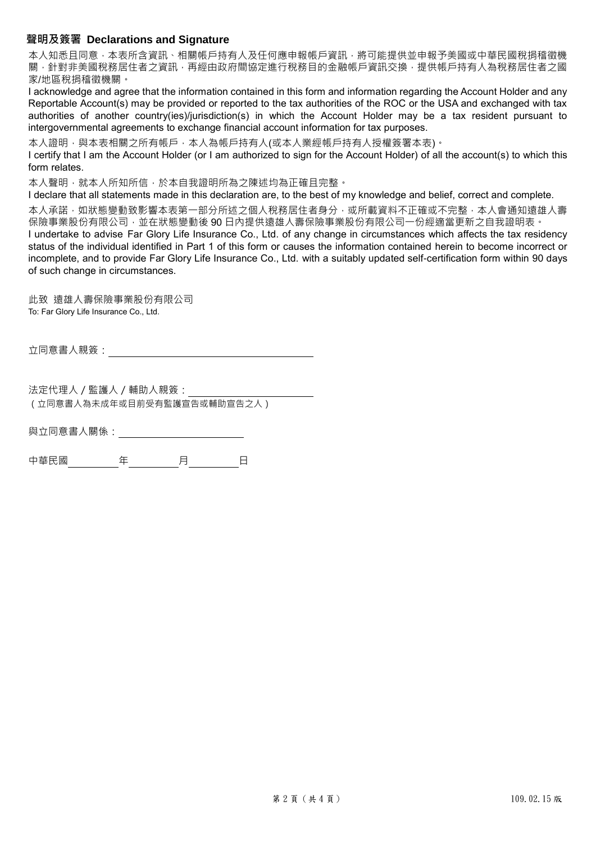# **聲明及簽署 Declarations and Signature**

本人知悉且同意,本表所含資訊、相關帳戶持有人及任何應申報帳戶資訊,將可能提供並申報予美國或中華民國稅捐稽徵機 關,針對非美國稅務居住者之資訊,再經由政府間協定進行稅務目的金融帳戶資訊交換,提供帳戶持有人為稅務居住者之國 家/地區稅捐稽徵機關。

I acknowledge and agree that the information contained in this form and information regarding the Account Holder and any Reportable Account(s) may be provided or reported to the tax authorities of the ROC or the USA and exchanged with tax authorities of another country(ies)/jurisdiction(s) in which the Account Holder may be a tax resident pursuant to intergovernmental agreements to exchange financial account information for tax purposes.

本人證明,與本表相關之所有帳戶,本人為帳戶持有人(或本人業經帳戶持有人授權簽署本表)。

I certify that I am the Account Holder (or I am authorized to sign for the Account Holder) of all the account(s) to which this form relates.

本人聲明,就本人所知所信,於本自我證明所為之陳述均為正確且完整。

I declare that all statements made in this declaration are, to the best of my knowledge and belief, correct and complete.

本人承諾,如狀態變動致影響本表第一部分所述之個人稅務居住者身分,或所載資料不正確或不完整,本人會通知遠雄人壽 保險事業股份有限公司,並在狀態變動後 90 日內提供遠雄人壽保險事業股份有限公司一份經適當更新之自我證明表。

I undertake to advise Far Glory Life Insurance Co., Ltd. of any change in circumstances which affects the tax residency status of the individual identified in Part 1 of this form or causes the information contained herein to become incorrect or incomplete, and to provide Far Glory Life Insurance Co., Ltd. with a suitably updated self-certification form within 90 days of such change in circumstances.

此致 遠雄人壽保險事業股份有限公司 To: Far Glory Life Insurance Co., Ltd.

立同意書人親簽:

法定代理人/監護人/輔助人親簽: (立同意書人為未成年或目前受有監護宣告或輔助宣告之人)

與立同意書人關係:

中華民國 年 月 日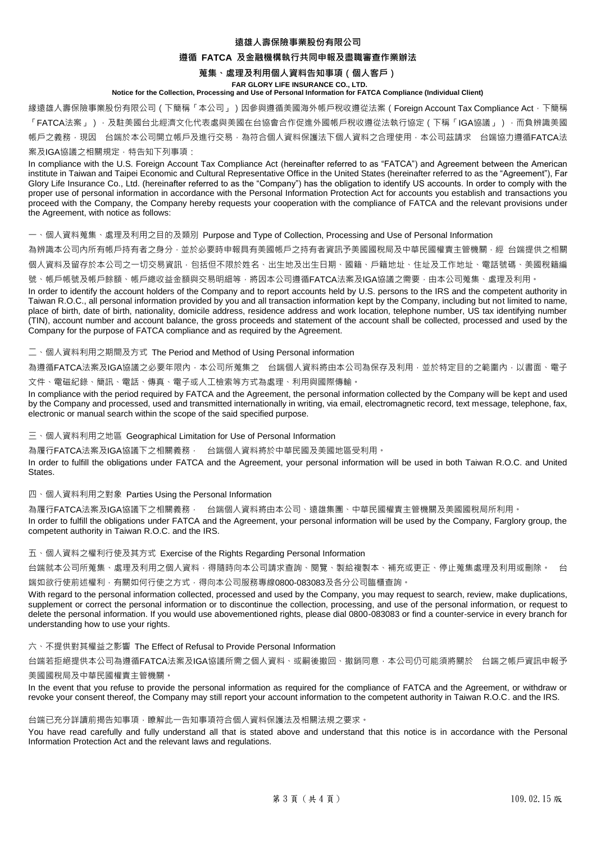## **遠雄人壽保險事業股份有限公司**

## **遵循 FATCA 及金融機構執行共同申報及盡職審查作業辦法**

# **蒐集、處理及利用個人資料告知事項(個人客戶)**

#### **FAR GLORY LIFE INSURANCE CO., LTD.**

# **Notice for the Collection, Processing and Use of Personal Information for FATCA Compliance (Individual Client)**

緣遠雄人壽保險事業股份有限公司(下簡稱「本公司」)因參與遵循美國海外帳戶稅收遵從法案(Foreign Account Tax Compliance Act, 下簡稱 「FATCA法案」),及駐美國台北經濟文化代表處與美國在台協會合作促進外國帳戶稅收遵從法執行協定(下稱「IGA協議」),而負辨識美國 帳戶之義務,現因 台端於本公司開立帳戶及進行交易,為符合個人資料保護法下個人資料之合理使用,本公司茲請求 台端協力遵循FATCA法 案及IGA協議之相關規定,特告知下列事項:

In compliance with the U.S. Foreign Account Tax Compliance Act (hereinafter referred to as "FATCA") and Agreement between the American institute in Taiwan and Taipei Economic and Cultural Representative Office in the United States (hereinafter referred to as the "Agreement"), Far Glory Life Insurance Co., Ltd. (hereinafter referred to as the "Company") has the obligation to identify US accounts. In order to comply with the proper use of personal information in accordance with the Personal Information Protection Act for accounts you establish and transactions you proceed with the Company, the Company hereby requests your cooperation with the compliance of FATCA and the relevant provisions under the Agreement, with notice as follows:

一、個人資料蒐集、處理及利用之目的及類別 Purpose and Type of Collection, Processing and Use of Personal Information

為辨識本公司內所有帳戶持有者之身分,並於必要時申報具有美國帳戶之持有者資訊予美國國稅局及中華民國權責主管機關,經 台端提供之相關 個人資料及留存於本公司之一切交易資訊,包括但不限於姓名、出生地及出生日期、國籍、戶籍地址、住址及工作地址、電話號碼、美國稅籍編

號、帳戶帳號及帳戶餘額、帳戶總收益金額與交易明細等,將因本公司遵循FATCA法案及IGA協議之需要,由本公司蒐集、處理及利用。

In order to identify the account holders of the Company and to report accounts held by U.S. persons to the IRS and the competent authority in Taiwan R.O.C., all personal information provided by you and all transaction information kept by the Company, including but not limited to name, place of birth, date of birth, nationality, domicile address, residence address and work location, telephone number, US tax identifying number (TIN), account number and account balance, the gross proceeds and statement of the account shall be collected, processed and used by the Company for the purpose of FATCA compliance and as required by the Agreement.

二、個人資料利用之期間及方式 The Period and Method of Using Personal information

為遵循FATCA法案及IGA協議之必要年限内,本公司所蒐集之 台端個人資料將由本公司為保存及利用,並於特定目的之範圍內,以書面、電子

文件、電磁紀錄、簡訊、電話、傳真、電子或人工檢索等方式為處理、利用與國際傳輸。

In compliance with the period required by FATCA and the Agreement, the personal information collected by the Company will be kept and used by the Company and processed, used and transmitted internationally in writing, via email, electromagnetic record, text message, telephone, fax, electronic or manual search within the scope of the said specified purpose.

三、個人資料利用之地區 Geographical Limitation for Use of Personal Information

為履行FATCA法案及IGA協議下之相關義務, 台端個人資料將於中華民國及美國地區受利用。

In order to fulfill the obligations under FATCA and the Agreement, your personal information will be used in both Taiwan R.O.C. and United States.

### 四、個人資料利用之對象 Parties Using the Personal Information

為履行FATCA法案及IGA協議下之相關義務, 台端個人資料將由本公司、遠雄集團、中華民國權責主管機關及美國國稅局所利用。 In order to fulfill the obligations under FATCA and the Agreement, your personal information will be used by the Company, Farglory group, the competent authority in Taiwan R.O.C. and the IRS.

五、個人資料之權利行使及其方式 Exercise of the Rights Regarding Personal Information

台端就本公司所蒐集、處理及利用之個人資料,得隨時向本公司請求查詢、閱覽、製給複製本、補充或更正、停止蒐集處理及利用或刪除。 台

端如欲行使前述權利,有關如何行使之方式,得向本公司服務專線0800-083083及各分公司臨櫃查詢。

With regard to the personal information collected, processed and used by the Company, you may request to search, review, make duplications, supplement or correct the personal information or to discontinue the collection, processing, and use of the personal information, or request to delete the personal information. If you would use abovementioned rights, please dial 0800-083083 or find a counter-service in every branch for understanding how to use your rights.

## 六、不提供對其權益之影響 The Effect of Refusal to Provide Personal Information

台端若拒絕提供本公司為遵循FATCA法案及IGA協議所需之個人資料、或嗣後撤回、撤銷同意,本公司仍可能須將關於 台端之帳戶資訊申報予 美國國稅局及中華民國權責主管機關。

In the event that you refuse to provide the personal information as required for the compliance of FATCA and the Agreement, or withdraw or revoke your consent thereof, the Company may still report your account information to the competent authority in Taiwan R.O.C. and the IRS.

#### 台端已充分詳讀前揭告知事項,瞭解此一告知事項符合個人資料保護法及相關法規之要求。

You have read carefully and fully understand all that is stated above and understand that this notice is in accordance with the Personal Information Protection Act and the relevant laws and regulations.